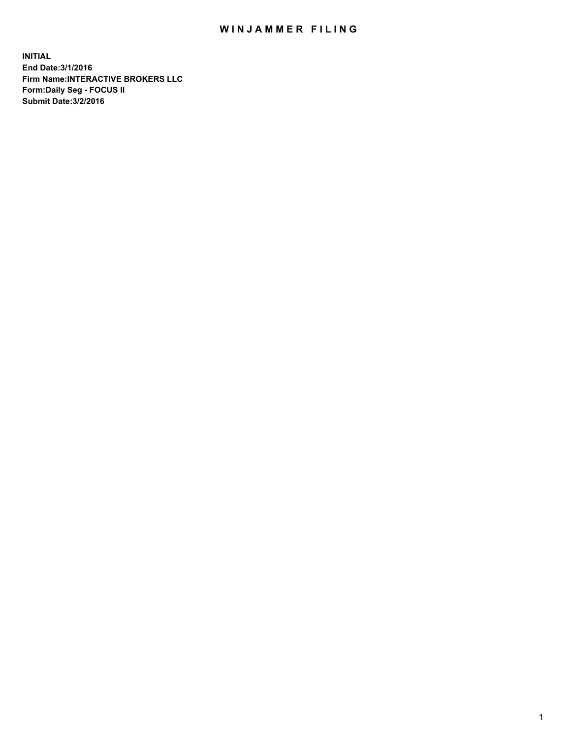## WIN JAMMER FILING

**INITIAL End Date:3/1/2016 Firm Name:INTERACTIVE BROKERS LLC Form:Daily Seg - FOCUS II Submit Date:3/2/2016**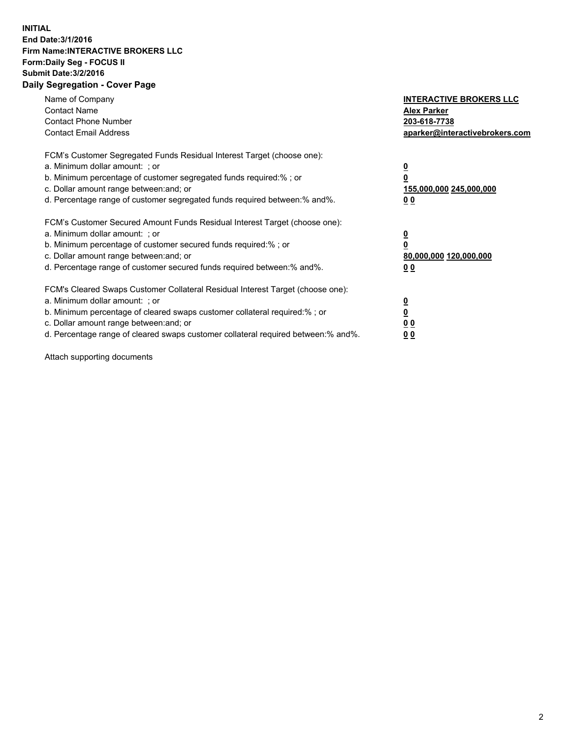## **INITIAL End Date:3/1/2016 Firm Name:INTERACTIVE BROKERS LLC Form:Daily Seg - FOCUS II Submit Date:3/2/2016 Daily Segregation - Cover Page**

| Name of Company<br><b>Contact Name</b><br><b>Contact Phone Number</b><br><b>Contact Email Address</b>                                                                                                                                                                                                                          | <b>INTERACTIVE BROKERS LLC</b><br><b>Alex Parker</b><br>203-618-7738<br>aparker@interactivebrokers.com |
|--------------------------------------------------------------------------------------------------------------------------------------------------------------------------------------------------------------------------------------------------------------------------------------------------------------------------------|--------------------------------------------------------------------------------------------------------|
| FCM's Customer Segregated Funds Residual Interest Target (choose one):<br>a. Minimum dollar amount: ; or<br>b. Minimum percentage of customer segregated funds required:%; or<br>c. Dollar amount range between: and; or<br>d. Percentage range of customer segregated funds required between:% and%.                          | <u>0</u><br>155,000,000 245,000,000<br><u>00</u>                                                       |
| FCM's Customer Secured Amount Funds Residual Interest Target (choose one):<br>a. Minimum dollar amount: ; or<br>b. Minimum percentage of customer secured funds required:%; or<br>c. Dollar amount range between: and; or<br>d. Percentage range of customer secured funds required between:% and%.                            | <u>0</u><br>80,000,000 120,000,000<br>0 <sub>0</sub>                                                   |
| FCM's Cleared Swaps Customer Collateral Residual Interest Target (choose one):<br>a. Minimum dollar amount: ; or<br>b. Minimum percentage of cleared swaps customer collateral required:% ; or<br>c. Dollar amount range between: and; or<br>d. Percentage range of cleared swaps customer collateral required between:% and%. | ₫<br>0 <sub>0</sub><br>0 <sub>0</sub>                                                                  |

Attach supporting documents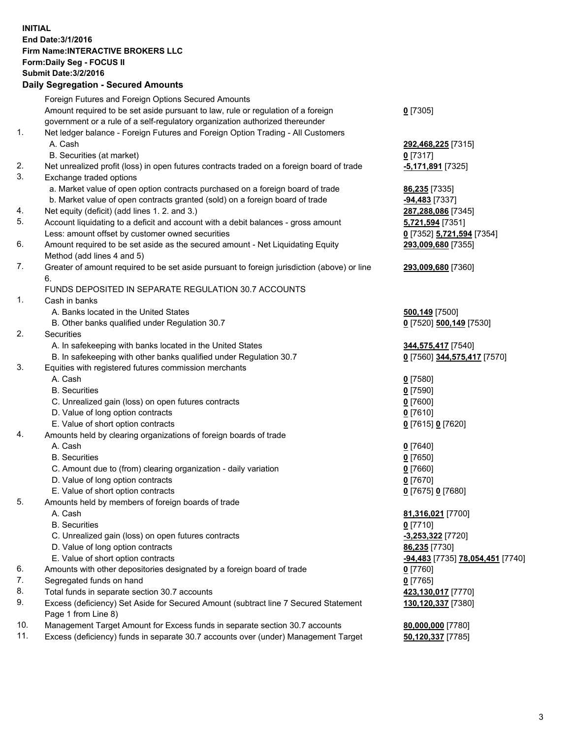## **INITIAL End Date:3/1/2016 Firm Name:INTERACTIVE BROKERS LLC Form:Daily Seg - FOCUS II Submit Date:3/2/2016 Daily Segregation - Secured Amounts**

|     | Foreign Futures and Foreign Options Secured Amounts                                         |                                  |
|-----|---------------------------------------------------------------------------------------------|----------------------------------|
|     | Amount required to be set aside pursuant to law, rule or regulation of a foreign            | $0$ [7305]                       |
|     | government or a rule of a self-regulatory organization authorized thereunder                |                                  |
| 1.  | Net ledger balance - Foreign Futures and Foreign Option Trading - All Customers             |                                  |
|     | A. Cash                                                                                     | 292,468,225 [7315]               |
|     | B. Securities (at market)                                                                   | $0$ [7317]                       |
| 2.  | Net unrealized profit (loss) in open futures contracts traded on a foreign board of trade   | <u>-5,171,891</u> [7325]         |
| 3.  | Exchange traded options                                                                     |                                  |
|     | a. Market value of open option contracts purchased on a foreign board of trade              | 86,235 [7335]                    |
|     | b. Market value of open contracts granted (sold) on a foreign board of trade                | -94,483 [7337]                   |
| 4.  | Net equity (deficit) (add lines 1.2. and 3.)                                                | 287,288,086 [7345]               |
| 5.  | Account liquidating to a deficit and account with a debit balances - gross amount           | 5,721,594 [7351]                 |
|     | Less: amount offset by customer owned securities                                            | 0 [7352] 5,721,594 [7354]        |
| 6.  | Amount required to be set aside as the secured amount - Net Liquidating Equity              | 293,009,680 [7355]               |
|     | Method (add lines 4 and 5)                                                                  |                                  |
| 7.  | Greater of amount required to be set aside pursuant to foreign jurisdiction (above) or line | 293,009,680 [7360]               |
|     | 6.                                                                                          |                                  |
|     | FUNDS DEPOSITED IN SEPARATE REGULATION 30.7 ACCOUNTS                                        |                                  |
| 1.  | Cash in banks                                                                               |                                  |
|     | A. Banks located in the United States                                                       |                                  |
|     |                                                                                             | 500,149 [7500]                   |
| 2.  | B. Other banks qualified under Regulation 30.7                                              | 0 [7520] 500,149 [7530]          |
|     | Securities                                                                                  |                                  |
|     | A. In safekeeping with banks located in the United States                                   | 344,575,417 [7540]               |
|     | B. In safekeeping with other banks qualified under Regulation 30.7                          | 0 [7560] 344,575,417 [7570]      |
| 3.  | Equities with registered futures commission merchants                                       |                                  |
|     | A. Cash                                                                                     | $0$ [7580]                       |
|     | <b>B.</b> Securities                                                                        | $0$ [7590]                       |
|     | C. Unrealized gain (loss) on open futures contracts                                         | $0$ [7600]                       |
|     | D. Value of long option contracts                                                           | $0$ [7610]                       |
|     | E. Value of short option contracts                                                          | 0 [7615] 0 [7620]                |
| 4.  | Amounts held by clearing organizations of foreign boards of trade                           |                                  |
|     | A. Cash                                                                                     | $0$ [7640]                       |
|     | <b>B.</b> Securities                                                                        | $0$ [7650]                       |
|     | C. Amount due to (from) clearing organization - daily variation                             | $0$ [7660]                       |
|     | D. Value of long option contracts                                                           | $0$ [7670]                       |
|     | E. Value of short option contracts                                                          | 0 [7675] 0 [7680]                |
| 5.  | Amounts held by members of foreign boards of trade                                          |                                  |
|     | A. Cash                                                                                     | 81,316,021 [7700]                |
|     | <b>B.</b> Securities                                                                        | $0$ [7710]                       |
|     | C. Unrealized gain (loss) on open futures contracts                                         | -3,253,322 [7720]                |
|     | D. Value of long option contracts                                                           | 86,235 [7730]                    |
|     | E. Value of short option contracts                                                          | -94,483 [7735] 78,054,451 [7740] |
| 6.  | Amounts with other depositories designated by a foreign board of trade                      | $0$ [7760]                       |
| 7.  | Segregated funds on hand                                                                    | $0$ [7765]                       |
| 8.  | Total funds in separate section 30.7 accounts                                               | 423,130,017 [7770]               |
| 9.  | Excess (deficiency) Set Aside for Secured Amount (subtract line 7 Secured Statement         | 130,120,337 [7380]               |
|     | Page 1 from Line 8)                                                                         |                                  |
| 10. | Management Target Amount for Excess funds in separate section 30.7 accounts                 | 80,000,000 [7780]                |
| 11. | Excess (deficiency) funds in separate 30.7 accounts over (under) Management Target          | 50,120,337 [7785]                |
|     |                                                                                             |                                  |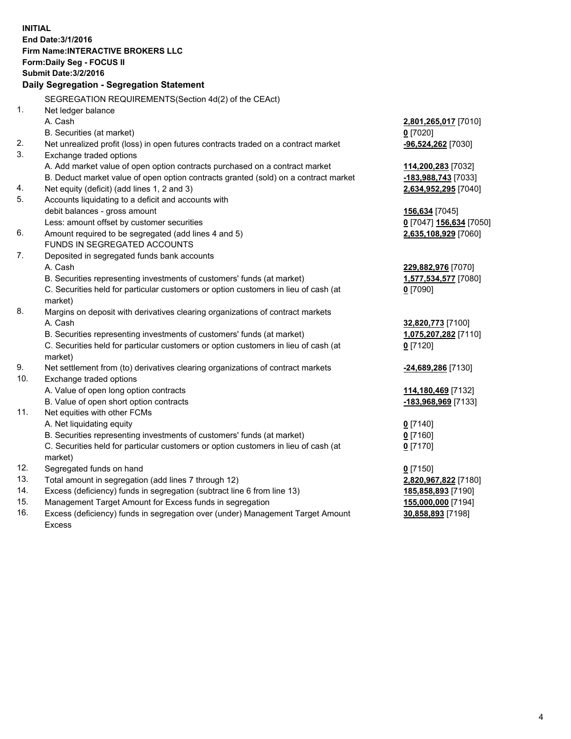**INITIAL End Date:3/1/2016 Firm Name:INTERACTIVE BROKERS LLC Form:Daily Seg - FOCUS II Submit Date:3/2/2016 Daily Segregation - Segregation Statement** SEGREGATION REQUIREMENTS(Section 4d(2) of the CEAct) 1. Net ledger balance A. Cash **2,801,265,017** [7010] B. Securities (at market) **0** [7020] 2. Net unrealized profit (loss) in open futures contracts traded on a contract market **-96,524,262** [7030] 3. Exchange traded options A. Add market value of open option contracts purchased on a contract market **114,200,283** [7032] B. Deduct market value of open option contracts granted (sold) on a contract market **-183,988,743** [7033] 4. Net equity (deficit) (add lines 1, 2 and 3) **2,634,952,295** [7040] 5. Accounts liquidating to a deficit and accounts with debit balances - gross amount **156,634** [7045] Less: amount offset by customer securities **0** [7047] **156,634** [7050] 6. Amount required to be segregated (add lines 4 and 5) **2,635,108,929** [7060] FUNDS IN SEGREGATED ACCOUNTS 7. Deposited in segregated funds bank accounts A. Cash **229,882,976** [7070] B. Securities representing investments of customers' funds (at market) **1,577,534,577** [7080] C. Securities held for particular customers or option customers in lieu of cash (at market) **0** [7090] 8. Margins on deposit with derivatives clearing organizations of contract markets A. Cash **32,820,773** [7100] B. Securities representing investments of customers' funds (at market) **1,075,207,282** [7110] C. Securities held for particular customers or option customers in lieu of cash (at market) **0** [7120] 9. Net settlement from (to) derivatives clearing organizations of contract markets **-24,689,286** [7130] 10. Exchange traded options A. Value of open long option contracts **114,180,469** [7132] B. Value of open short option contracts **-183,968,969** [7133] 11. Net equities with other FCMs A. Net liquidating equity **0** [7140] B. Securities representing investments of customers' funds (at market) **0** [7160] C. Securities held for particular customers or option customers in lieu of cash (at market) **0** [7170] 12. Segregated funds on hand **0** [7150] 13. Total amount in segregation (add lines 7 through 12) **2,820,967,822** [7180] 14. Excess (deficiency) funds in segregation (subtract line 6 from line 13) **185,858,893** [7190] 15. Management Target Amount for Excess funds in segregation **155,000,000** [7194] **30,858,893** [7198]

16. Excess (deficiency) funds in segregation over (under) Management Target Amount Excess